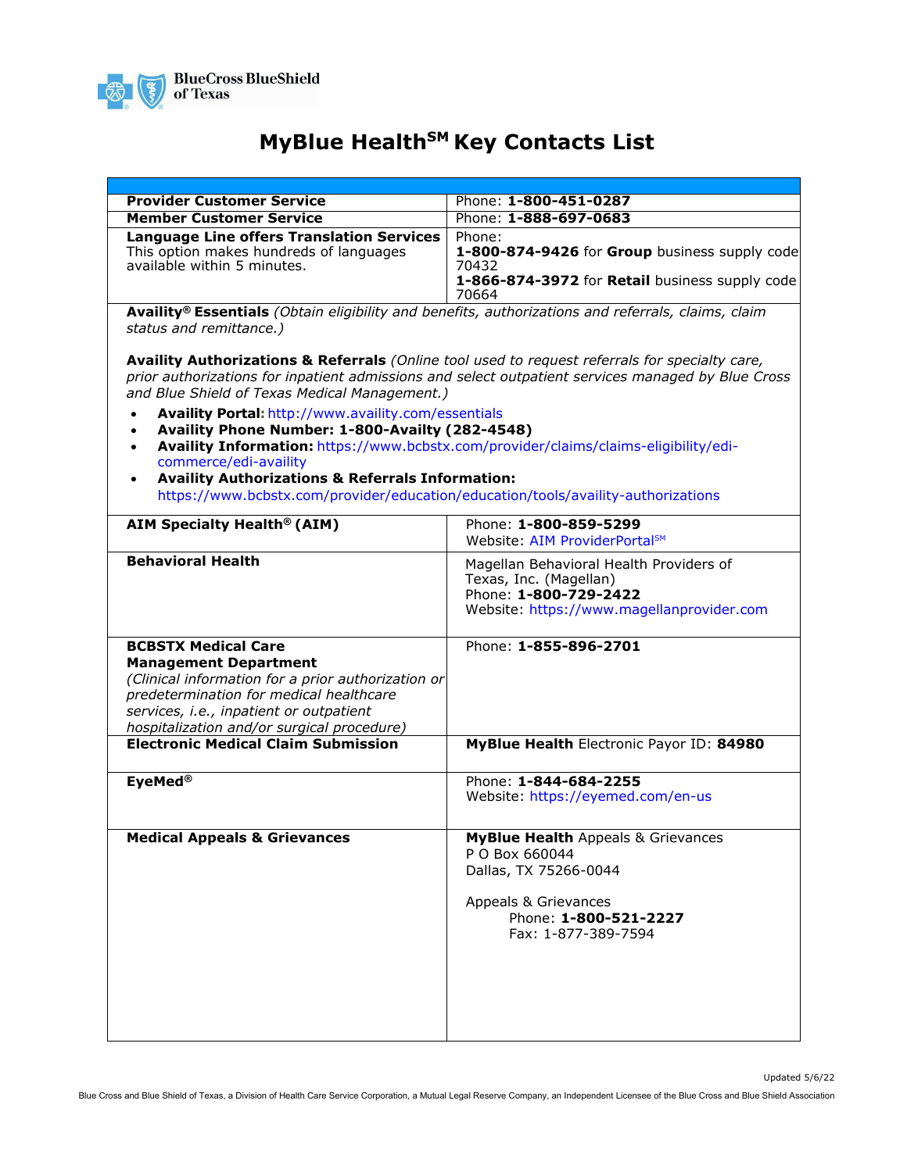

## **MyBlue Health<sup>SM</sup> Key Contacts List**

| <b>Provider Customer Service</b>                                                                                                                                                                                                                                                                                                                                                                      | Phone: 1-800-451-0287                                                                                                                                            |
|-------------------------------------------------------------------------------------------------------------------------------------------------------------------------------------------------------------------------------------------------------------------------------------------------------------------------------------------------------------------------------------------------------|------------------------------------------------------------------------------------------------------------------------------------------------------------------|
| <b>Member Customer Service</b>                                                                                                                                                                                                                                                                                                                                                                        | Phone: 1-888-697-0683                                                                                                                                            |
| <b>Language Line offers Translation Services</b><br>This option makes hundreds of languages<br>available within 5 minutes.                                                                                                                                                                                                                                                                            | Phone:<br>1-800-874-9426 for Group business supply code<br>70432<br>1-866-874-3972 for Retail business supply code<br>70664                                      |
| Availity® Essentials (Obtain eligibility and benefits, authorizations and referrals, claims, claim<br>status and remittance.)                                                                                                                                                                                                                                                                         |                                                                                                                                                                  |
| Availity Authorizations & Referrals (Online tool used to request referrals for specialty care,<br>prior authorizations for inpatient admissions and select outpatient services managed by Blue Cross<br>and Blue Shield of Texas Medical Management.)                                                                                                                                                 |                                                                                                                                                                  |
| Availity Portal: http://www.availity.com/essentials<br>Availity Phone Number: 1-800-Availty (282-4548)<br>Availity Information: https://www.bcbstx.com/provider/claims/claims-eligibility/edi-<br>$\bullet$<br>commerce/edi-availity<br><b>Availity Authorizations &amp; Referrals Information:</b><br>$\bullet$<br>https://www.bcbstx.com/provider/education/education/tools/availity-authorizations |                                                                                                                                                                  |
| <b>AIM Specialty Health® (AIM)</b>                                                                                                                                                                                                                                                                                                                                                                    | Phone: 1-800-859-5299<br>Website: AIM ProviderPortal <sup>sM</sup>                                                                                               |
| <b>Behavioral Health</b>                                                                                                                                                                                                                                                                                                                                                                              | Magellan Behavioral Health Providers of<br>Texas, Inc. (Magellan)<br>Phone: 1-800-729-2422<br>Website: https://www.magellanprovider.com                          |
| <b>BCBSTX Medical Care</b><br><b>Management Department</b><br>(Clinical information for a prior authorization or<br>predetermination for medical healthcare<br>services, i.e., inpatient or outpatient<br>hospitalization and/or surgical procedure)                                                                                                                                                  | Phone: 1-855-896-2701                                                                                                                                            |
| <b>Electronic Medical Claim Submission</b>                                                                                                                                                                                                                                                                                                                                                            | MyBlue Health Electronic Payor ID: 84980                                                                                                                         |
| EyeMed <sup>®</sup>                                                                                                                                                                                                                                                                                                                                                                                   | Phone: 1-844-684-2255<br>Website: https://eyemed.com/en-us                                                                                                       |
| <b>Medical Appeals &amp; Grievances</b>                                                                                                                                                                                                                                                                                                                                                               | <b>MyBlue Health Appeals &amp; Grievances</b><br>P O Box 660044<br>Dallas, TX 75266-0044<br>Appeals & Grievances<br>Phone: 1-800-521-2227<br>Fax: 1-877-389-7594 |